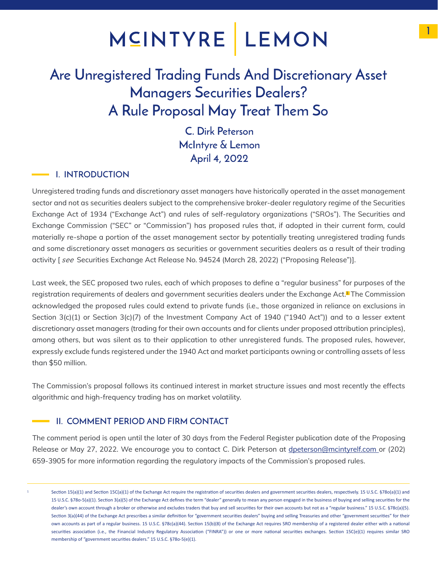## MCINTYRE LEMON

### Are Unregistered Trading Funds And Discretionary Asset Managers Securities Dealers? A Rule Proposal May Treat Them So

C. Dirk Peterson McIntyre & Lemon April 4, 2022

#### **I. INTRODUCTION**

Unregistered trading funds and discretionary asset managers have historically operated in the asset management sector and not as securities dealers subject to the comprehensive broker-dealer regulatory regime of the Securities Exchange Act of 1934 ("Exchange Act") and rules of self-regulatory organizations ("SROs"). The Securities and Exchange Commission ("SEC" or "Commission") has proposed rules that, if adopted in their current form, could materially re-shape a portion of the asset management sector by potentially treating unregistered trading funds and some discretionary asset managers as securities or government securities dealers as a result of their trading activity [ *see* Securities Exchange Act Release No. 94524 (March 28, 2022) ("Proposing Release")].

Last week, the SEC proposed two rules, each of which proposes to define a "regular business" for purposes of the registration requirements of dealers and government securities dealers under the Exchange Act.<sup>1</sup> The Commission acknowledged the proposed rules could extend to private funds (i.e., those organized in reliance on exclusions in Section 3(c)(1) or Section 3(c)(7) of the Investment Company Act of 1940 ("1940 Act")) and to a lesser extent discretionary asset managers (trading for their own accounts and for clients under proposed attribution principles), among others, but was silent as to their application to other unregistered funds. The proposed rules, however, expressly exclude funds registered under the 1940 Act and market participants owning or controlling assets of less than \$50 million.

The Commission's proposal follows its continued interest in market structure issues and most recently the effects algorithmic and high-frequency trading has on market volatility.

#### II. COMMENT PERIOD AND FIRM CONTACT

The comment period is open until the later of 30 days from the Federal Register publication date of the Proposing Release or May 27, 2022. We encourage you to contact C. Dirk Peterson at dpeterson@mcintyrelf.com or (202) 659-3905 for more information regarding the regulatory impacts of the Commission's proposed rules.

1

Section 15(a)(1) and Section 15C(a)(1) of the Exchange Act require the registration of securities dealers and government securities dealers, respectively. 15 U.S.C. §78o(a)(1) and 15 U.S.C. §78o-5(a)(1). Section 3(a)(5) of the Exchange Act defines the term "dealer" generally to mean any person engaged in the business of buying and selling securities for the dealer's own account through a broker or otherwise and excludes traders that buy and sell securities for their own accounts but not as a "regular business." 15 U.S.C. §78c(a)(5). Section 3(a)(44) of the Exchange Act prescribes a similar definition for "government securities dealers" buying and selling Treasuries and other "government securities" for their own accounts as part of a regular business. 15 U.S.C. §78c(a)(44). Section 15(b)(8) of the Exchange Act requires SRO membership of a registered dealer either with a national securities association (i.e., the Financial Industry Regulatory Association ("FINRA")) or one or more national securities exchanges. Section 15C(e)(1) requires similar SRO membership of "government securities dealers." 15 U.S.C. §78o-5(e)(1).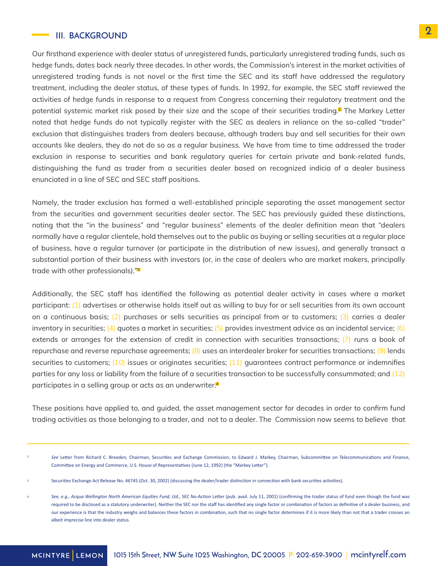#### III. BACKGROUND

Our firsthand experience with dealer status of unregistered funds, particularly unregistered trading funds, such as hedge funds, dates back nearly three decades. In other words, the Commission's interest in the market activities of unregistered trading funds is not novel or the first time the SEC and its staff have addressed the regulatory treatment, including the dealer status, of these types of funds. In 1992, for example, the SEC staff reviewed the activities of hedge funds in response to a request from Congress concerning their regulatory treatment and the potential systemic market risk posed by their size and the scope of their securities trading.<sup>2</sup> The Markey Letter noted that hedge funds do not typically register with the SEC as dealers in reliance on the so-called "trader" exclusion that distinguishes traders from dealers because, although traders buy and sell securities for their own accounts like dealers, they do not do so as a regular business. We have from time to time addressed the trader exclusion in response to securities and bank regulatory queries for certain private and bank-related funds, distinguishing the fund as trader from a securities dealer based on recognized indicia of a dealer business enunciated in a line of SEC and SEC staff positions.

Namely, the trader exclusion has formed a well-established principle separating the asset management sector from the securities and government securities dealer sector. The SEC has previously guided these distinctions, noting that the "in the business" and "regular business" elements of the dealer definition mean that "dealers normally have a regular clientele, hold themselves out to the public as buying or selling securities at a regular place of business, have a regular turnover (or participate in the distribution of new issues), and generally transact a substantial portion of their business with investors (or, in the case of dealers who are market makers, principally trade with other professionals)."<sup>3</sup>

Additionally, the SEC staff has identified the following as potential dealer activity in cases where a market participant: (1) advertises or otherwise holds itself out as willing to buy for or sell securities from its own account on a continuous basis;  $(2)$  purchases or sells securities as principal from or to customers;  $(3)$  carries a dealer inventory in securities; (4) quotes a market in securities; (5) provides investment advice as an incidental service; (6) extends or arranges for the extension of credit in connection with securities transactions; (7) runs a book of repurchase and reverse repurchase agreements; (8) uses an interdealer broker for securities transactions; (9) lends securities to customers;  $(10)$  issues or originates securities;  $(11)$  quarantees contract performance or indemnifies parties for any loss or liability from the failure of a securities transaction to be successfully consummated; and (12) participates in a selling group or acts as an underwriter.<sup>4</sup>

These positions have applied to, and guided, the asset management sector for decades in order to confirm fund trading activities as those belonging to a trader, and not to a dealer. The Commission now seems to believe that

See Letter from Richard C. Breeden, Chairman, Securities and Exchange Commission, to Edward J. Markey, Chairman, Subcommittee on Telecommunications and Finance, Committee on Energy and Commerce, U.S. House of Representatives (June 12, 1992) (the "Markey Letter"). 2

Securities Exchange Act Release No. 46745 (Oct. 30, 2002) (discussing the dealer/trader distinction in connection with bank securities activities). 3

See, e.g., Acqua Wellington North American Equities Fund, Ltd., SEC No-Action Letter (pub. avail. July 11, 2001) (confirming the trader status of fund even though the fund was required to be disclosed as a statutory underwriter). Neither the SEC nor the staff has identified any single factor or combination of factors as definitive of a dealer business, and our experience is that the industry weighs and balances these factors in combination, such that no single factor determines if it is more likely than not that a trader crosses an albeit imprecise line into dealer status. 4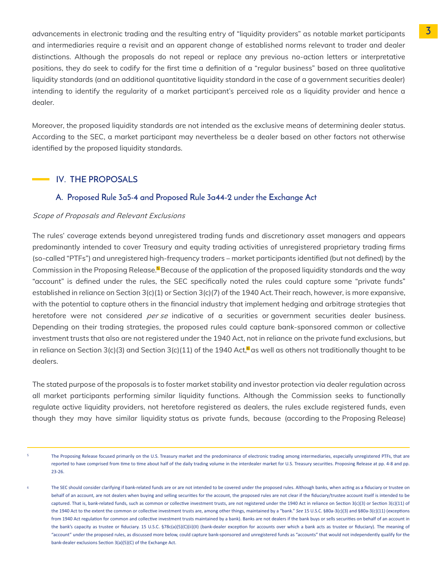advancements in electronic trading and the resulting entry of "liquidity providers" as notable market participants and intermediaries require a revisit and an apparent change of established norms relevant to trader and dealer distinctions. Although the proposals do not repeal or replace any previous no-action letters or interpretative positions, they do seek to codify for the first time a definition of a "regular business" based on three qualitative liquidity standards (and an additional quantitative liquidity standard in the case of a government securities dealer) intending to identify the regularity of a market participant's perceived role as a liquidity provider and hence a dealer.

Moreover, the proposed liquidity standards are not intended as the exclusive means of determining dealer status. According to the SEC, a market participant may nevertheless be a dealer based on other factors not otherwise identified by the proposed liquidity standards.

#### IV. THE PROPOSALS

#### A. Proposed Rule 3a5-4 and Proposed Rule 3a44-2 under the Exchange Act

#### Scope of Proposals and Relevant Exclusions

heretofore were not considered *per se* indicative of a securities or government securities dealer business. The rules' coverage extends beyond unregistered trading funds and discretionary asset managers and appears predominantly intended to cover Treasury and equity trading activities of unregistered proprietary trading firms (so-called "PTFs") and unregistered high-frequency traders – market participants identified (but not defined) by the Commission in the Proposing Release.<sup>5</sup> Because of the application of the proposed liquidity standards and the way "account" is defined under the rules, the SEC specifically noted the rules could capture some "private funds" established in reliance on Section 3(c)(1) or Section 3(c)(7) of the 1940 Act. Their reach, however, is more expansive, with the potential to capture others in the financial industry that implement hedging and arbitrage strategies that Depending on their trading strategies, the proposed rules could capture bank-sponsored common or collective investment trusts that also are not registered under the 1940 Act, not in reliance on the private fund exclusions, but in reliance on Section 3(c)(3) and Section 3(c)(11) of the 1940 Act,  $a$  as well as others not traditionally thought to be dealers.

The stated purpose of the proposals is to foster market stability and investor protection via dealer regulation across all market participants performing similar liquidity functions. Although the Commission seeks to functionally regulate active liquidity providers, not heretofore registered as dealers, the rules exclude registered funds, even though they may have similar liquidity status as private funds, because (according to the Proposing Release)

The Proposing Release focused primarily on the U.S. Treasury market and the predominance of electronic trading among intermediaries, especially unregistered PTFs, that are reported to have comprised from time to time about half of the daily trading volume in the interdealer market for U.S. Treasury securities. Proposing Release at pp. 4-8 and pp. 23-26. 5

The SEC should consider clarifying if bank-related funds are or are not intended to be covered under the proposed rules. Although banks, when acting as a fiduciary or trustee on behalf of an account, are not dealers when buying and selling securities for the account, the proposed rules are not clear if the fiduciary/trustee account itself is intended to be captured. That is, bank-related funds, such as common or collective investment trusts, are not registered under the 1940 Act in reliance on Section 3(c)(3) or Section 3(c)(11) of the 1940 Act to the extent the common or collective investment trusts are, among other things, maintained by a "bank." *See* 15 U.S.C. §80a-3(c)(3) and §80a-3(c)(11) (exceptions from 1940 Act regulation for common and collective investment trusts maintained by a bank). Banks are not dealers if the bank buys or sells securities on behalf of an account in the bank's capacity as trustee or fiduciary. 15 U.S.C. §78c(a)(5)(C)(ii)(II) (bank-dealer exception for accounts over which a bank acts as trustee or fiduciary). The meaning of "account" under the proposed rules, as discussed more below, could capture bank-sponsored and unregistered funds as "accounts" that would not independently qualify for the bank-dealer exclusions Section 3(a)(5)(C) of the Exchange Act. 6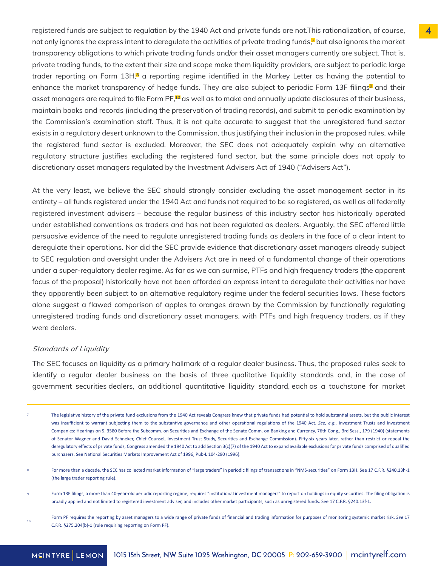registered funds are subject to regulation by the 1940 Act and private funds are not.This rationalization, of course, not only ignores the express intent to deregulate the activities of private trading funds,<sup>7</sup> but also ignores the market transparency obligations to which private trading funds and/or their asset managers currently are subject. That is, private trading funds, to the extent their size and scope make them liquidity providers, are subject to periodic large trader reporting on Form 13H,<sup>8</sup> a reporting regime identified in the Markey Letter as having the potential to enhance the market transparency of hedge funds. They are also subject to periodic Form 13F filings<sup>9</sup> and their asset managers are required to file Form PF,<sup>10</sup> as well as to make and annually update disclosures of their business, maintain books and records (including the preservation of trading records), and submit to periodic examination by the Commission's examination staff. Thus, it is not quite accurate to suggest that the unregistered fund sector exists in a regulatory desert unknown to the Commission, thus justifying their inclusion in the proposed rules, while the registered fund sector is excluded. Moreover, the SEC does not adequately explain why an alternative regulatory structure justifies excluding the registered fund sector, but the same principle does not apply to discretionary asset managers regulated by the Investment Advisers Act of 1940 ("Advisers Act").

At the very least, we believe the SEC should strongly consider excluding the asset management sector in its entirety – all funds registered under the 1940 Act and funds not required to be so registered, as well as all federally registered investment advisers – because the regular business of this industry sector has historically operated under established conventions as traders and has not been regulated as dealers. Arguably, the SEC offered little persuasive evidence of the need to regulate unregistered trading funds as dealers in the face of a clear intent to deregulate their operations. Nor did the SEC provide evidence that discretionary asset managers already subject to SEC regulation and oversight under the Advisers Act are in need of a fundamental change of their operations under a super-regulatory dealer regime. As far as we can surmise, PTFs and high frequency traders (the apparent focus of the proposal) historically have not been afforded an express intent to deregulate their activities nor have they apparently been subject to an alternative regulatory regime under the federal securities laws. These factors alone suggest a flawed comparison of apples to oranges drawn by the Commission by functionally regulating unregistered trading funds and discretionary asset managers, with PTFs and high frequency traders, as if they were dealers.

#### Standards of Liquidity

The SEC focuses on liquidity as a primary hallmark of a regular dealer business. Thus, the proposed rules seek to identify a regular dealer business on the basis of three qualitative liquidity standards and, in the case of government securities dealers, an additional quantitative liquidity standard, each as a touchstone for market

- The legislative history of the private fund exclusions from the 1940 Act reveals Congress knew that private funds had potential to hold substantial assets, but the public interest was insufficient to warrant subjecting them to the substantive governance and other operational regulations of the 1940 Act. *See, e.g.*, Investment Trusts and Investment Companies: Hearings on S. 3580 Before the Subcomm. on Securities and Exchange of the Senate Comm. on Banking and Currency, 76th Cong., 3rd Sess., 179 (1940) (statements of Senator Wagner and David Schneker, Chief Counsel, Investment Trust Study, Securities and Exchange Commission). Fifty-six years later, rather than restrict or repeal the deregulatory effects of private funds, Congress amended the 1940 Act to add Section 3(c)(7) of the 1940 Act to expand available exclusions for private funds comprised of qualified purchasers. See National Securities Markets Improvement Act of 1996, Pub-L 104-290 (1996). 7
- For more than a decade, the SEC has collected market information of "large traders" in periodic filings of transactions in "NMS-securities" on Form 13H. See 17 C.F.R. §240.13h-1 (the large trader reporting rule). 8
- Form 13F filings, a more than 40-year-old periodic reporting regime, requires "institutional investment managers" to report on holdings in equity securities. The filing obligation is broadly applied and not limited to registered investment adviser, and includes other market participants, such as unregistered funds. See 17 C.F.R. §240.13f-1. 9
- Form PF requires the reporting by asset managers to a wide range of private funds of financial and trading information for purposes of monitoring systemic market risk. See 17 C.F.R. §275.204(b)-1 (rule requiring reporting on Form PF). 10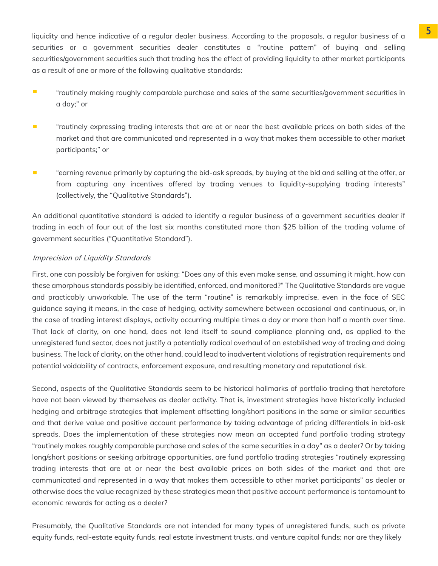liquidity and hence indicative of a regular dealer business. According to the proposals, a regular business of a securities or a government securities dealer constitutes a "routine pattern" of buying and selling securities/government securities such that trading has the effect of providing liquidity to other market participants as a result of one or more of the following qualitative standards:

- $\mathcal{L}_{\mathcal{A}}$ "routinely making roughly comparable purchase and sales of the same securities/government securities in a day;" or
- "routinely expressing trading interests that are at or near the best available prices on both sides of the  $\overline{\phantom{a}}$ market and that are communicated and represented in a way that makes them accessible to other market participants;" or
- $\blacksquare$ "earning revenue primarily by capturing the bid-ask spreads, by buying at the bid and selling at the offer, or from capturing any incentives offered by trading venues to liquidity-supplying trading interests" (collectively, the "Qualitative Standards").

An additional quantitative standard is added to identify a regular business of a government securities dealer if trading in each of four out of the last six months constituted more than \$25 billion of the trading volume of government securities ("Quantitative Standard").

#### Imprecision of Liquidity Standards

First, one can possibly be forgiven for asking: "Does any of this even make sense, and assuming it might, how can these amorphous standards possibly be identified, enforced, and monitored?" The Qualitative Standards are vague and practicably unworkable. The use of the term "routine" is remarkably imprecise, even in the face of SEC guidance saying it means, in the case of hedging, activity somewhere between occasional and continuous, or, in the case of trading interest displays, activity occurring multiple times a day or more than half a month over time. That lack of clarity, on one hand, does not lend itself to sound compliance planning and, as applied to the unregistered fund sector, does not justify a potentially radical overhaul of an established way of trading and doing business. The lack of clarity, on the other hand, could lead to inadvertent violations of registration requirements and potential voidability of contracts, enforcement exposure, and resulting monetary and reputational risk.

Second, aspects of the Qualitative Standards seem to be historical hallmarks of portfolio trading that heretofore have not been viewed by themselves as dealer activity. That is, investment strategies have historically included hedging and arbitrage strategies that implement offsetting long/short positions in the same or similar securities and that derive value and positive account performance by taking advantage of pricing differentials in bid-ask spreads. Does the implementation of these strategies now mean an accepted fund portfolio trading strategy "routinely makes roughly comparable purchase and sales of the same securities in a day" as a dealer? Or by taking long/short positions or seeking arbitrage opportunities, are fund portfolio trading strategies "routinely expressing trading interests that are at or near the best available prices on both sides of the market and that are communicated and represented in a way that makes them accessible to other market participants" as dealer or otherwise does the value recognized by these strategies mean that positive account performance is tantamount to economic rewards for acting as a dealer?

Presumably, the Qualitative Standards are not intended for many types of unregistered funds, such as private equity funds, real-estate equity funds, real estate investment trusts, and venture capital funds; nor are they likely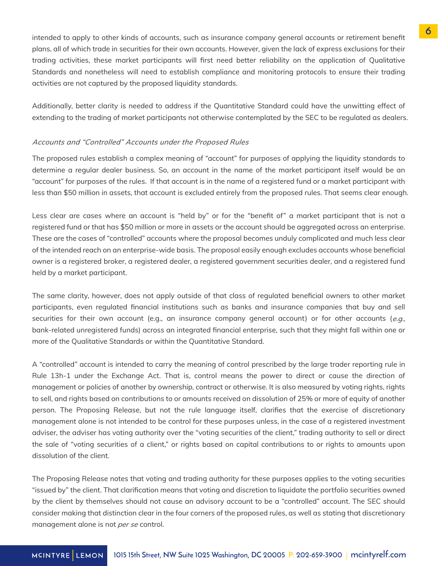intended to apply to other kinds of accounts, such as insurance company general accounts or retirement benefit plans, all of which trade in securities for their own accounts. However, given the lack of express exclusions for their trading activities, these market participants will first need better reliability on the application of Qualitative Standards and nonetheless will need to establish compliance and monitoring protocols to ensure their trading activities are not captured by the proposed liquidity standards.

Additionally, better clarity is needed to address if the Quantitative Standard could have the unwitting effect of extending to the trading of market participants not otherwise contemplated by the SEC to be regulated as dealers.

#### Accounts and "Controlled" Accounts under the Proposed Rules

The proposed rules establish a complex meaning of "account" for purposes of applying the liquidity standards to determine a regular dealer business. So, an account in the name of the market participant itself would be an "account" for purposes of the rules. If that account is in the name of a registered fund or a market participant with less than \$50 million in assets, that account is excluded entirely from the proposed rules. That seems clear enough.

Less clear are cases where an account is "held by" or for the "benefit of" a market participant that is not a registered fund or that has \$50 million or more in assets or the account should be aggregated across an enterprise. These are the cases of "controlled" accounts where the proposal becomes unduly complicated and much less clear of the intended reach on an enterprise-wide basis. The proposal easily enough excludes accounts whose beneficial owner is a registered broker, a registered dealer, a registered government securities dealer, and a registered fund held by a market participant.

The same clarity, however, does not apply outside of that class of regulated beneficial owners to other market participants, even regulated financial institutions such as banks and insurance companies that buy and sell securities for their own account (e.g., an insurance company general account) or for other accounts (e.g., bank-related unregistered funds) across an integrated financial enterprise, such that they might fall within one or more of the Qualitative Standards or within the Quantitative Standard.

A "controlled" account is intended to carry the meaning of control prescribed by the large trader reporting rule in Rule 13h-1 under the Exchange Act. That is, control means the power to direct or cause the direction of management or policies of another by ownership, contract or otherwise. It is also measured by voting rights, rights to sell, and rights based on contributions to or amounts received on dissolution of 25% or more of equity of another person. The Proposing Release, but not the rule language itself, clarifies that the exercise of discretionary management alone is not intended to be control for these purposes unless, in the case of a registered investment adviser, the adviser has voting authority over the "voting securities of the client," trading authority to sell or direct the sale of "voting securities of a client," or rights based on capital contributions to or rights to amounts upon dissolution of the client.

The Proposing Release notes that voting and trading authority for these purposes applies to the voting securities "issued by" the client. That clarification means that voting and discretion to liquidate the portfolio securities owned by the client by themselves should not cause an advisory account to be a "controlled" account. The SEC should consider making that distinction clear in the four corners of the proposed rules, as well as stating that discretionary management alone is not *per se* control.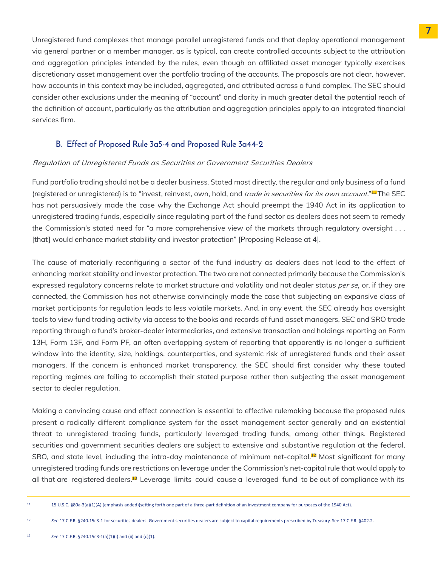Unregistered fund complexes that manage parallel unregistered funds and that deploy operational management via general partner or a member manager, as is typical, can create controlled accounts subject to the attribution and aggregation principles intended by the rules, even though an affiliated asset manager typically exercises discretionary asset management over the portfolio trading of the accounts. The proposals are not clear, however, how accounts in this context may be included, aggregated, and attributed across a fund complex. The SEC should consider other exclusions under the meaning of "account" and clarity in much greater detail the potential reach of the definition of account, particularly as the attribution and aggregation principles apply to an integrated financial services firm.

#### B. Effect of Proposed Rule 3a5-4 and Proposed Rule 3a44-2

#### Regulation of Unregistered Funds as Securities or Government Securities Dealers

Fund portfolio trading should not be a dealer business. Stated most directly, the regular and only business of a fund (registered or unregistered) is to "invest, reinvest, own, hold, and *trade in securities for its own account*." $^{\text{u}}\text{I}$ The SEC has not persuasively made the case why the Exchange Act should preempt the 1940 Act in its application to unregistered trading funds, especially since regulating part of the fund sector as dealers does not seem to remedy the Commission's stated need for "a more comprehensive view of the markets through regulatory oversight . . . [that] would enhance market stability and investor protection" [Proposing Release at 4].

The cause of materially reconfiguring a sector of the fund industry as dealers does not lead to the effect of enhancing market stability and investor protection. The two are not connected primarily because the Commission's expressed regulatory concerns relate to market structure and volatility and not dealer status *per se*, or, if they are connected, the Commission has not otherwise convincingly made the case that subjecting an expansive class of market participants for regulation leads to less volatile markets. And, in any event, the SEC already has oversight tools to view fund trading activity via access to the books and records of fund asset managers, SEC and SRO trade reporting through a fund's broker-dealer intermediaries, and extensive transaction and holdings reporting on Form 13H, Form 13F, and Form PF, an often overlapping system of reporting that apparently is no longer a sufficient window into the identity, size, holdings, counterparties, and systemic risk of unregistered funds and their asset managers. If the concern is enhanced market transparency, the SEC should first consider why these touted reporting regimes are failing to accomplish their stated purpose rather than subjecting the asset management sector to dealer regulation.

Making a convincing cause and effect connection is essential to effective rulemaking because the proposed rules present a radically different compliance system for the asset management sector generally and an existential threat to unregistered trading funds, particularly leveraged trading funds, among other things. Registered securities and government securities dealers are subject to extensive and substantive regulation at the federal, SRO, and state level, including the intra-day maintenance of minimum net-capital.<sup>12</sup> Most significant for many unregistered trading funds are restrictions on leverage under the Commission's net-capital rule that would apply to all that are registered dealers.<sup>13</sup> Leverage limits could cause a leveraged fund to be out of compliance with its

<sup>12</sup> See 17 C.F.R. §240.15c3-1 for securities dealers. Government securities dealers are subject to capital requirements prescribed by Treasury. See 17 C.F.R. §402.2.

<sup>11 15</sup> U.S.C. §80a-3(a)(1)(A) (emphasis added)(setting forth one part of a three-part definition of an investment company for purposes of the 1940 Act).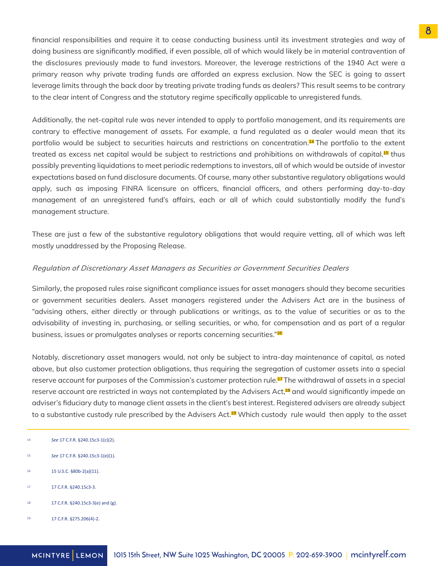financial responsibilities and require it to cease conducting business until its investment strategies and way of doing business are significantly modified, if even possible, all of which would likely be in material contravention of the disclosures previously made to fund investors. Moreover, the leverage restrictions of the 1940 Act were a primary reason why private trading funds are afforded an express exclusion. Now the SEC is going to assert leverage limits through the back door by treating private trading funds as dealers? This result seems to be contrary to the clear intent of Congress and the statutory regime specifically applicable to unregistered funds.

Additionally, the net-capital rule was never intended to apply to portfolio management, and its requirements are contrary to effective management of assets. For example, a fund regulated as a dealer would mean that its portfolio would be subject to securities haircuts and restrictions on concentration.14 The portfolio to the extent treated as excess net capital would be subject to restrictions and prohibitions on withdrawals of capital,<sup>15</sup> thus possibly preventing liquidations to meet periodic redemptions to investors, all of which would be outside of investor expectations based on fund disclosure documents. Of course, many other substantive regulatory obligations would apply, such as imposing FINRA licensure on officers, financial officers, and others performing day-to-day management of an unregistered fund's affairs, each or all of which could substantially modify the fund's management structure.

These are just a few of the substantive regulatory obligations that would require vetting, all of which was left mostly unaddressed by the Proposing Release.

#### Regulation of Discretionary Asset Managers as Securities or Government Securities Dealers

Similarly, the proposed rules raise significant compliance issues for asset managers should they become securities or government securities dealers. Asset managers registered under the Advisers Act are in the business of "advising others, either directly or through publications or writings, as to the value of securities or as to the advisability of investing in, purchasing, or selling securities, or who, for compensation and as part of a regular business, issues or promulgates analyses or reports concerning securities."<sup>16</sup>

Notably, discretionary asset managers would, not only be subject to intra-day maintenance of capital, as noted above, but also customer protection obligations, thus requiring the segregation of customer assets into a special reserve account for purposes of the Commission's customer protection rule.<sup>17</sup> The withdrawal of assets in a special reserve account are restricted in ways not contemplated by the Advisers Act,<sup>18</sup> and would significantly impede an adviser's fiduciary duty to manage client assets in the client's best interest. Registered advisers are already subject to a substantive custody rule prescribed by the Advisers Act.<sup>19</sup> Which custody rule would then apply to the asset

- *See* 17 C.F.R. §240.15c3-1(e)(1). 15
- 15 U.S.C. §80b-2(a)(11). 16
- 17 C.F.R. §240.15c3-3. 17
- 17 C.F.R. §240.15c3-3(e) and (g). 18
- 17 C.F.R. §275.206(4)-2. 19

*See* 17 C.F.R. §240.15c3-1(c)(2). 14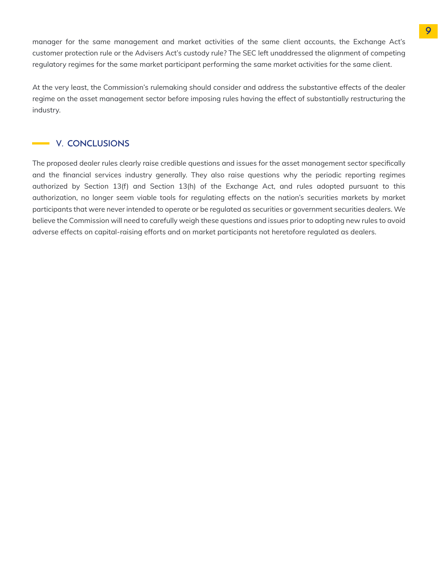manager for the same management and market activities of the same client accounts, the Exchange Act's customer protection rule or the Advisers Act's custody rule? The SEC left unaddressed the alignment of competing regulatory regimes for the same market participant performing the same market activities for the same client.

At the very least, the Commission's rulemaking should consider and address the substantive effects of the dealer regime on the asset management sector before imposing rules having the effect of substantially restructuring the industry.

#### V. CONCLUSIONS

The proposed dealer rules clearly raise credible questions and issues for the asset management sector specifically and the financial services industry generally. They also raise questions why the periodic reporting regimes authorized by Section 13(f) and Section 13(h) of the Exchange Act, and rules adopted pursuant to this authorization, no longer seem viable tools for regulating effects on the nation's securities markets by market participants that were never intended to operate or be regulated as securities or government securities dealers. We believe the Commission will need to carefully weigh these questions and issues prior to adopting new rules to avoid adverse effects on capital-raising efforts and on market participants not heretofore regulated as dealers.